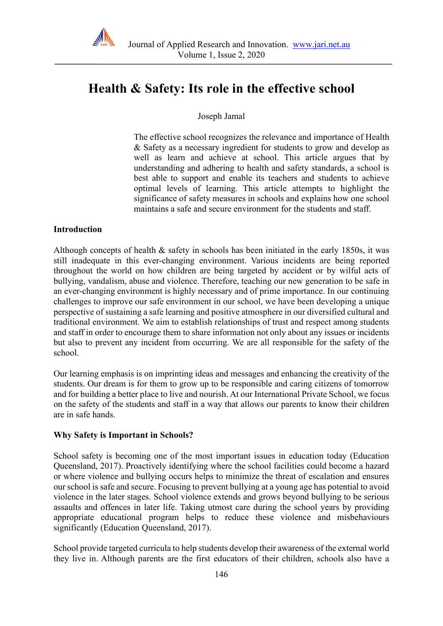

# **Health & Safety: Its role in the effective school**

Joseph Jamal

The effective school recognizes the relevance and importance of Health & Safety as a necessary ingredient for students to grow and develop as well as learn and achieve at school. This article argues that by understanding and adhering to health and safety standards, a school is best able to support and enable its teachers and students to achieve optimal levels of learning. This article attempts to highlight the significance of safety measures in schools and explains how one school maintains a safe and secure environment for the students and staff.

#### **Introduction**

Although concepts of health  $\&$  safety in schools has been initiated in the early 1850s, it was still inadequate in this ever-changing environment. Various incidents are being reported throughout the world on how children are being targeted by accident or by wilful acts of bullying, vandalism, abuse and violence. Therefore, teaching our new generation to be safe in an ever-changing environment is highly necessary and of prime importance. In our continuing challenges to improve our safe environment in our school, we have been developing a unique perspective of sustaining a safe learning and positive atmosphere in our diversified cultural and traditional environment. We aim to establish relationships of trust and respect among students and staff in order to encourage them to share information not only about any issues or incidents but also to prevent any incident from occurring. We are all responsible for the safety of the school.

Our learning emphasis is on imprinting ideas and messages and enhancing the creativity of the students. Our dream is for them to grow up to be responsible and caring citizens of tomorrow and for building a better place to live and nourish. At our International Private School, we focus on the safety of the students and staff in a way that allows our parents to know their children are in safe hands.

#### **Why Safety is Important in Schools?**

School safety is becoming one of the most important issues in education today (Education Queensland, 2017). Proactively identifying where the school facilities could become a hazard or where violence and bullying occurs helps to minimize the threat of escalation and ensures our school is safe and secure. Focusing to prevent bullying at a young age has potential to avoid violence in the later stages. School violence extends and grows beyond bullying to be serious assaults and offences in later life. Taking utmost care during the school years by providing appropriate educational program helps to reduce these violence and misbehaviours significantly (Education Queensland, 2017).

School provide targeted curricula to help students develop their awareness of the external world they live in. Although parents are the first educators of their children, schools also have a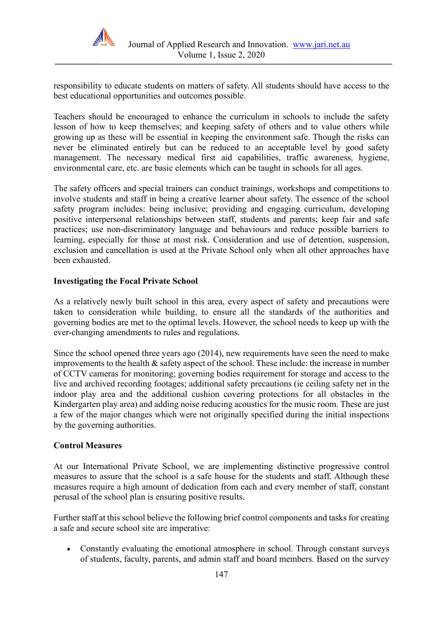

responsibility to educate students on matters of safety. All students should have access to the best educational opportunities and outcomes possible.

Teachers should be encouraged to enhance the curriculum in schools to include the safety lesson of how to keep themselves; and keeping safety of others and to value others while growing up as these will be essential in keeping the environment safe. Though the risks can never be eliminated entirely but can be reduced to an acceptable level by good safety management. The necessary medical first aid capabilities, traffic awareness, hygiene, environmental care, etc. are basic elements which can be taught in schools for all ages.

The safety officers and special trainers can conduct trainings, workshops and competitions to involve students and staff in being a creative learner about safety. The essence of the school safety program includes: being inclusive; providing and engaging curriculum, developing positive interpersonal relationships between staff, students and parents; keep fair and safe practices; use non-discriminatory language and behaviours and reduce possible barriers to learning, especially for those at most risk. Consideration and use of detention, suspension, exclusion and cancellation is used at the Private School only when all other approaches have been exhausted.

#### **Investigating the Focal Private School**

As a relatively newly built school in this area, every aspect of safety and precautions were taken to consideration while building, to ensure all the standards of the authorities and governing bodies are met to the optimal levels. However, the school needs to keep up with the ever-changing amendments to rules and regulations.

Since the school opened three years ago (2014), new requirements have seen the need to make improvements to the health  $\&$  safety aspect of the school. These include: the increase in number of CCTV cameras for monitoring; governing bodies requirement for storage and access to the live and archived recording footages; additional safety precautions (ie ceiling safety net in the indoor play area and the additional cushion covering protections for all obstacles in the Kindergarten play area) and adding noise reducing acoustics for the music room. These are just a few of the major changes which were not originally specified during the initial inspections by the governing authorities.

#### **Control Measures**

At our International Private School, we are implementing distinctive progressive control measures to assure that the school is a safe house for the students and staff. Although these measures require a high amount of dedication from each and every member of staff, constant perusal of the school plan is ensuring positive results.

Further staff at this school believe the following brief control components and tasks for creating a safe and secure school site are imperative:

• Constantly evaluating the emotional atmosphere in school. Through constant surveys of students, faculty, parents, and admin staff and board members. Based on the survey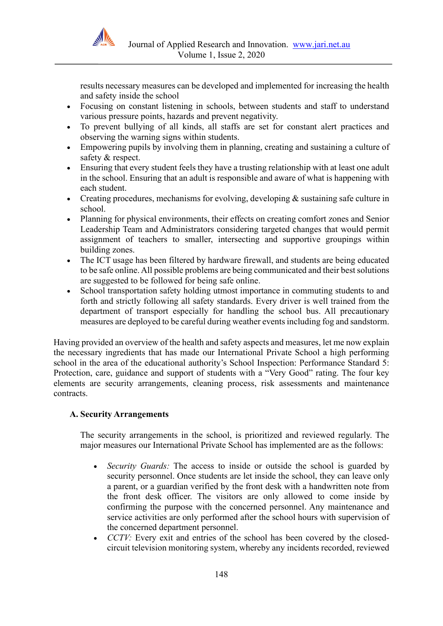

results necessary measures can be developed and implemented for increasing the health and safety inside the school

- Focusing on constant listening in schools, between students and staff to understand various pressure points, hazards and prevent negativity.
- To prevent bullying of all kinds, all staffs are set for constant alert practices and observing the warning signs within students.
- Empowering pupils by involving them in planning, creating and sustaining a culture of safety & respect.
- Ensuring that every student feels they have a trusting relationship with at least one adult in the school. Ensuring that an adult is responsible and aware of what is happening with each student.
- Creating procedures, mechanisms for evolving, developing & sustaining safe culture in school.
- Planning for physical environments, their effects on creating comfort zones and Senior Leadership Team and Administrators considering targeted changes that would permit assignment of teachers to smaller, intersecting and supportive groupings within building zones.
- The ICT usage has been filtered by hardware firewall, and students are being educated to be safe online. All possible problems are being communicated and their best solutions are suggested to be followed for being safe online.
- School transportation safety holding utmost importance in commuting students to and forth and strictly following all safety standards. Every driver is well trained from the department of transport especially for handling the school bus. All precautionary measures are deployed to be careful during weather events including fog and sandstorm.

Having provided an overview of the health and safety aspects and measures, let me now explain the necessary ingredients that has made our International Private School a high performing school in the area of the educational authority's School Inspection: Performance Standard 5: Protection, care, guidance and support of students with a "Very Good" rating. The four key elements are security arrangements, cleaning process, risk assessments and maintenance contracts.

# **A. Security Arrangements**

The security arrangements in the school, is prioritized and reviewed regularly. The major measures our International Private School has implemented are as the follows:

- *Security Guards:* The access to inside or outside the school is guarded by security personnel. Once students are let inside the school, they can leave only a parent, or a guardian verified by the front desk with a handwritten note from the front desk officer. The visitors are only allowed to come inside by confirming the purpose with the concerned personnel. Any maintenance and service activities are only performed after the school hours with supervision of the concerned department personnel.
- *CCTV:* Every exit and entries of the school has been covered by the closedcircuit television monitoring system, whereby any incidents recorded, reviewed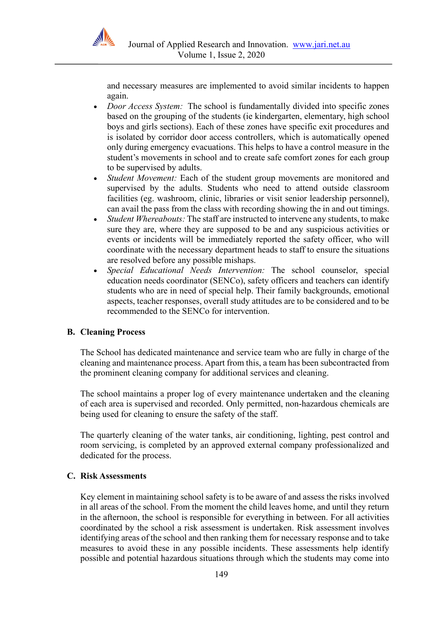

and necessary measures are implemented to avoid similar incidents to happen again.

- *Door Access System:* The school is fundamentally divided into specific zones based on the grouping of the students (ie kindergarten, elementary, high school boys and girls sections). Each of these zones have specific exit procedures and is isolated by corridor door access controllers, which is automatically opened only during emergency evacuations. This helps to have a control measure in the student's movements in school and to create safe comfort zones for each group to be supervised by adults.
- *Student Movement:* Each of the student group movements are monitored and supervised by the adults. Students who need to attend outside classroom facilities (eg. washroom, clinic, libraries or visit senior leadership personnel), can avail the pass from the class with recording showing the in and out timings.
- *Student Whereabouts:* The staff are instructed to intervene any students, to make sure they are, where they are supposed to be and any suspicious activities or events or incidents will be immediately reported the safety officer, who will coordinate with the necessary department heads to staff to ensure the situations are resolved before any possible mishaps.
- *Special Educational Needs Intervention:* The school counselor, special education needs coordinator (SENCo), safety officers and teachers can identify students who are in need of special help. Their family backgrounds, emotional aspects, teacher responses, overall study attitudes are to be considered and to be recommended to the SENCo for intervention.

# **B. Cleaning Process**

The School has dedicated maintenance and service team who are fully in charge of the cleaning and maintenance process. Apart from this, a team has been subcontracted from the prominent cleaning company for additional services and cleaning.

The school maintains a proper log of every maintenance undertaken and the cleaning of each area is supervised and recorded. Only permitted, non-hazardous chemicals are being used for cleaning to ensure the safety of the staff.

The quarterly cleaning of the water tanks, air conditioning, lighting, pest control and room servicing, is completed by an approved external company professionalized and dedicated for the process.

#### **C. Risk Assessments**

Key element in maintaining school safety is to be aware of and assess the risks involved in all areas of the school. From the moment the child leaves home, and until they return in the afternoon, the school is responsible for everything in between. For all activities coordinated by the school a risk assessment is undertaken. Risk assessment involves identifying areas of the school and then ranking them for necessary response and to take measures to avoid these in any possible incidents. These assessments help identify possible and potential hazardous situations through which the students may come into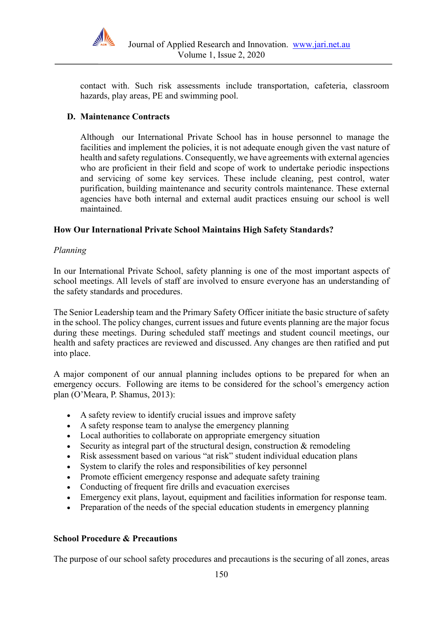

contact with. Such risk assessments include transportation, cafeteria, classroom hazards, play areas, PE and swimming pool.

#### **D. Maintenance Contracts**

Although our International Private School has in house personnel to manage the facilities and implement the policies, it is not adequate enough given the vast nature of health and safety regulations. Consequently, we have agreements with external agencies who are proficient in their field and scope of work to undertake periodic inspections and servicing of some key services. These include cleaning, pest control, water purification, building maintenance and security controls maintenance. These external agencies have both internal and external audit practices ensuing our school is well maintained.

#### **How Our International Private School Maintains High Safety Standards?**

#### *Planning*

In our International Private School, safety planning is one of the most important aspects of school meetings. All levels of staff are involved to ensure everyone has an understanding of the safety standards and procedures.

The Senior Leadership team and the Primary Safety Officer initiate the basic structure of safety in the school. The policy changes, current issues and future events planning are the major focus during these meetings. During scheduled staff meetings and student council meetings, our health and safety practices are reviewed and discussed. Any changes are then ratified and put into place.

A major component of our annual planning includes options to be prepared for when an emergency occurs. Following are items to be considered for the school's emergency action plan (O'Meara, P. Shamus, 2013):

- A safety review to identify crucial issues and improve safety
- A safety response team to analyse the emergency planning
- Local authorities to collaborate on appropriate emergency situation
- Security as integral part of the structural design, construction  $&$  remodeling
- Risk assessment based on various "at risk" student individual education plans
- System to clarify the roles and responsibilities of key personnel
- Promote efficient emergency response and adequate safety training
- Conducting of frequent fire drills and evacuation exercises
- Emergency exit plans, layout, equipment and facilities information for response team.
- Preparation of the needs of the special education students in emergency planning

#### **School Procedure & Precautions**

The purpose of our school safety procedures and precautions is the securing of all zones, areas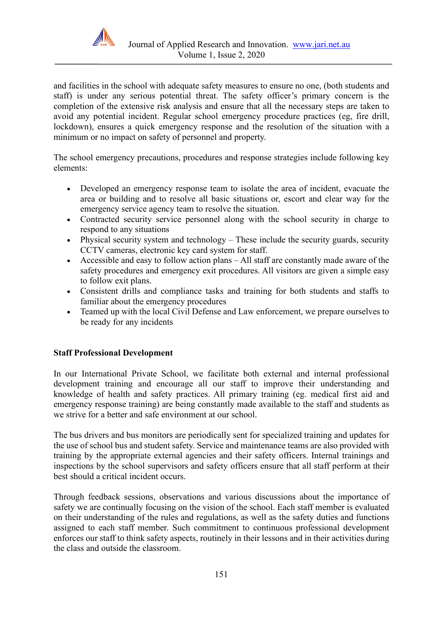

and facilities in the school with adequate safety measures to ensure no one, (both students and staff) is under any serious potential threat. The safety officer's primary concern is the completion of the extensive risk analysis and ensure that all the necessary steps are taken to avoid any potential incident. Regular school emergency procedure practices (eg, fire drill, lockdown), ensures a quick emergency response and the resolution of the situation with a minimum or no impact on safety of personnel and property.

The school emergency precautions, procedures and response strategies include following key elements:

- Developed an emergency response team to isolate the area of incident, evacuate the area or building and to resolve all basic situations or, escort and clear way for the emergency service agency team to resolve the situation.
- Contracted security service personnel along with the school security in charge to respond to any situations
- Physical security system and technology These include the security guards, security CCTV cameras, electronic key card system for staff.
- Accessible and easy to follow action plans All staff are constantly made aware of the safety procedures and emergency exit procedures. All visitors are given a simple easy to follow exit plans.
- Consistent drills and compliance tasks and training for both students and staffs to familiar about the emergency procedures
- Teamed up with the local Civil Defense and Law enforcement, we prepare ourselves to be ready for any incidents

# **Staff Professional Development**

In our International Private School, we facilitate both external and internal professional development training and encourage all our staff to improve their understanding and knowledge of health and safety practices. All primary training (eg. medical first aid and emergency response training) are being constantly made available to the staff and students as we strive for a better and safe environment at our school.

The bus drivers and bus monitors are periodically sent for specialized training and updates for the use of school bus and student safety. Service and maintenance teams are also provided with training by the appropriate external agencies and their safety officers. Internal trainings and inspections by the school supervisors and safety officers ensure that all staff perform at their best should a critical incident occurs.

Through feedback sessions, observations and various discussions about the importance of safety we are continually focusing on the vision of the school. Each staff member is evaluated on their understanding of the rules and regulations, as well as the safety duties and functions assigned to each staff member. Such commitment to continuous professional development enforces our staff to think safety aspects, routinely in their lessons and in their activities during the class and outside the classroom.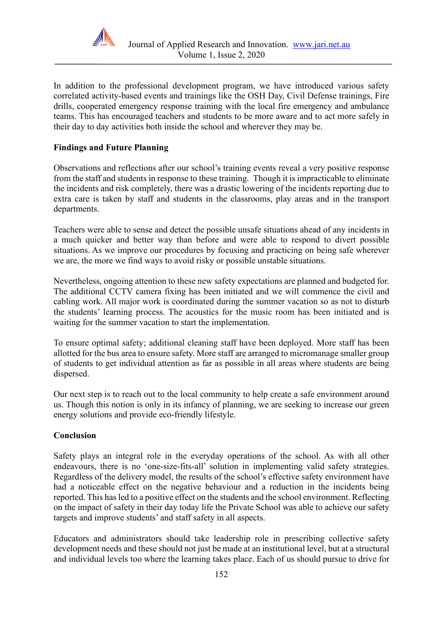

In addition to the professional development program, we have introduced various safety correlated activity-based events and trainings like the OSH Day, Civil Defense trainings, Fire drills, cooperated emergency response training with the local fire emergency and ambulance teams. This has encouraged teachers and students to be more aware and to act more safely in their day to day activities both inside the school and wherever they may be.

# **Findings and Future Planning**

Observations and reflections after our school's training events reveal a very positive response from the staff and students in response to these training. Though it is impracticable to eliminate the incidents and risk completely, there was a drastic lowering of the incidents reporting due to extra care is taken by staff and students in the classrooms, play areas and in the transport departments.

Teachers were able to sense and detect the possible unsafe situations ahead of any incidents in a much quicker and better way than before and were able to respond to divert possible situations. As we improve our procedures by focusing and practicing on being safe wherever we are, the more we find ways to avoid risky or possible unstable situations.

Nevertheless, ongoing attention to these new safety expectations are planned and budgeted for. The additional CCTV camera fixing has been initiated and we will commence the civil and cabling work. All major work is coordinated during the summer vacation so as not to disturb the students' learning process. The acoustics for the music room has been initiated and is waiting for the summer vacation to start the implementation.

To ensure optimal safety; additional cleaning staff have been deployed. More staff has been allotted for the bus area to ensure safety. More staff are arranged to micromanage smaller group of students to get individual attention as far as possible in all areas where students are being dispersed.

Our next step is to reach out to the local community to help create a safe environment around us. Though this notion is only in its infancy of planning, we are seeking to increase our green energy solutions and provide eco-friendly lifestyle.

# **Conclusion**

Safety plays an integral role in the everyday operations of the school. As with all other endeavours, there is no 'one-size-fits-all' solution in implementing valid safety strategies. Regardless of the delivery model, the results of the school's effective safety environment have had a noticeable effect on the negative behaviour and a reduction in the incidents being reported. This has led to a positive effect on the students and the school environment. Reflecting on the impact of safety in their day today life the Private School was able to achieve our safety targets and improve students' and staff safety in all aspects.

Educators and administrators should take leadership role in prescribing collective safety development needs and these should not just be made at an institutional level, but at a structural and individual levels too where the learning takes place. Each of us should pursue to drive for